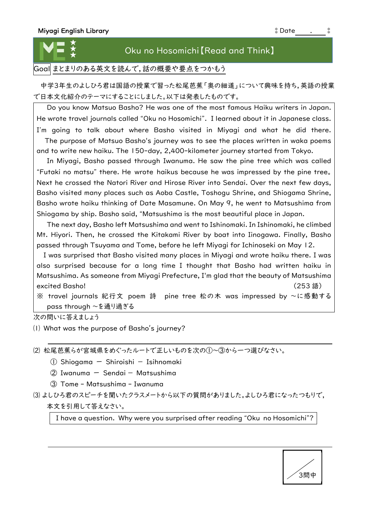

## Oku no Hosomichi【Read and Think】

Goal まとまりのある英文を読んで,話の概要や要点をつかもう

中学3年生のよしひろ君は国語の授業で習った松尾芭蕉「奥の細道」について興味を持ち,英語の授業 で日本文化紹介のテーマにすることにしました。以下は発表したものです。

Do you know Matsuo Basho? He was one of the most famous Haiku writers in Japan. He wrote travel journals called "Oku no Hosomichi". I learned about it in Japanese class. I'm going to talk about where Basho visited in Miyagi and what he did there. The purpose of Matsuo Basho's journey was to see the places written in waka poems and to write new haiku. The 150-day, 2,400-kilometer journey started from Tokyo.

In Miyagi, Basho passed through Iwanuma. He saw the pine tree which was called "Futaki no matsu" there. He wrote haikus because he was impressed by the pine tree。 Next he crossed the Natori River and Hirose River into Sendai. Over the next few days, Basho visited many places such as Aoba Castle, Toshogu Shrine, and Shiogama Shrine, Basho wrote haiku thinking of Date Masamune. On May 9, he went to Matsushima from Shiogama by ship. Basho said, "Matsushima is the most beautiful place in Japan.

The next day, Basho left Matsushima and went to Ishinomaki. In Ishinomaki, he climbed Mt. Hiyori. Then, he crossed the Kitakami River by boat into Iinogawa. Finally, Basho passed through Tsuyama and Tome, before he left Miyagi for Ichinoseki on May 12.

I was surprised that Basho visited many places in Miyagi and wrote haiku there. I was also surprised because for a long time I thought that Basho had written haiku in Matsushima. As someone from Miyagi Prefecture, I'm glad that the beauty of Matsushima excited Basho! (253 語)

※ travel journals 紀行文 poem 詩 pine tree 松の木 was impressed by ~に感動する pass through ~を通り過ぎる

次の問いに答えましょう

⑴ What was the purpose of Basho′s journey?

⑵ 松尾芭蕉らが宮城県をめぐったルートで正しいものを次の①~③から一つ選びなさい。

- ① Shiogama ー Shiroishi Isihnomaki
- $(2)$  Iwanuma Sendai Matsushima
- ③ Tome Matsushima Iwanuma
- ⑶ よしひろ君のスピーチを聞いたクラスメートから以下の質問がありました。よしひろ君になったつもりで, 本文を引用して答えなさい。

I have a question. Why were you surprised after reading "Oku no Hosomichi"?